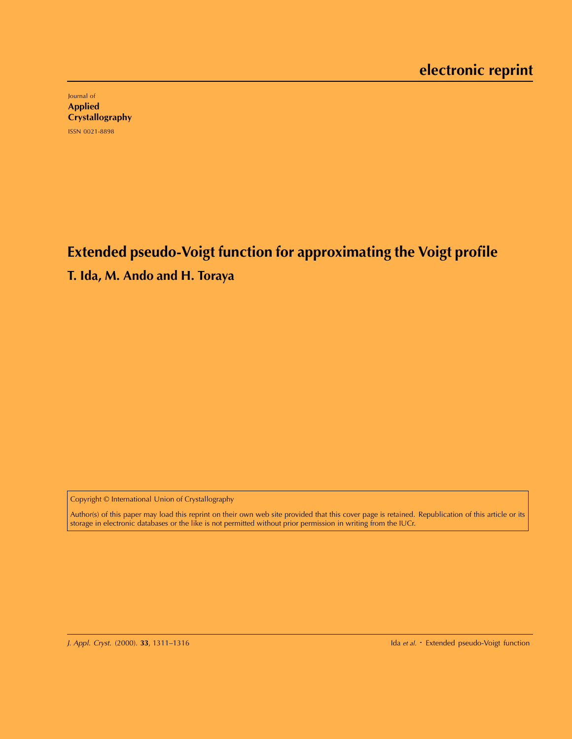Journal of Applied **Crystallography** ISSN 0021-8898

**Extended pseudo-Voigt function for approximating the Voigt profile**

**T. Ida, M. Ando and H. Toraya**

Copyright © International Union of Crystallography

Author(s) of this paper may load this reprint on their own web site provided that this cover page is retained. Republication of this article or its storage in electronic databases or the like is not permitted without prior permission in writing from the IUCr.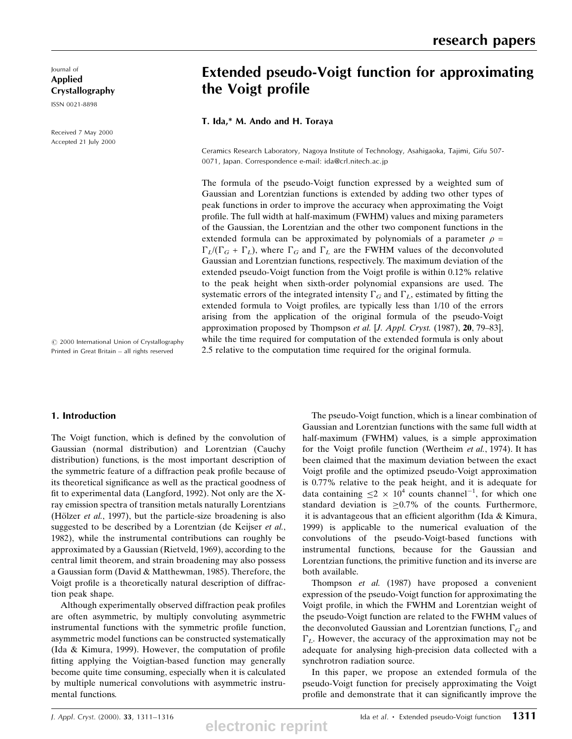Journal of Applied Crystallography

ISSN 0021-8898

Received 7 May 2000 Accepted 21 July 2000

 $\odot$  2000 International Union of Crystallography Printed in Great Britain - all rights reserved

### 1. Introduction

The Voigt function, which is defined by the convolution of Gaussian (normal distribution) and Lorentzian (Cauchy distribution) functions, is the most important description of the symmetric feature of a diffraction peak profile because of its theoretical significance as well as the practical goodness of fit to experimental data (Langford, 1992). Not only are the  $X$ ray emission spectra of transition metals naturally Lorentzians (Hölzer *et al.*, 1997), but the particle-size broadening is also suggested to be described by a Lorentzian (de Keijser et al., 1982), while the instrumental contributions can roughly be approximated by a Gaussian (Rietveld, 1969), according to the central limit theorem, and strain broadening may also possess a Gaussian form (David & Matthewman, 1985). Therefore, the Voigt profile is a theoretically natural description of diffraction peak shape.

Although experimentally observed diffraction peak profiles are often asymmetric, by multiply convoluting asymmetric instrumental functions with the symmetric profile function, asymmetric model functions can be constructed systematically (Ida & Kimura, 1999). However, the computation of profile fitting applying the Voigtian-based function may generally become quite time consuming, especially when it is calculated by multiple numerical convolutions with asymmetric instrumental functions.

# Extended pseudo-Voigt function for approximating the Voigt profile

T. Ida,\* M. Ando and H. Toraya

Ceramics Research Laboratory, Nagoya Institute of Technology, Asahigaoka, Tajimi, Gifu 507- 0071, Japan. Correspondence e-mail: ida@crl.nitech.ac.jp

The formula of the pseudo-Voigt function expressed by a weighted sum of Gaussian and Lorentzian functions is extended by adding two other types of peak functions in order to improve the accuracy when approximating the Voigt profile. The full width at half-maximum (FWHM) values and mixing parameters of the Gaussian, the Lorentzian and the other two component functions in the extended formula can be approximated by polynomials of a parameter  $\rho =$  $\Gamma_L/(\Gamma_G + \Gamma_L)$ , where  $\Gamma_G$  and  $\Gamma_L$  are the FWHM values of the deconvoluted Gaussian and Lorentzian functions, respectively. The maximum deviation of the extended pseudo-Voigt function from the Voigt profile is within 0.12% relative to the peak height when sixth-order polynomial expansions are used. The systematic errors of the integrated intensity  $\Gamma_G$  and  $\Gamma_L$ , estimated by fitting the extended formula to Voigt profiles, are typically less than 1/10 of the errors arising from the application of the original formula of the pseudo-Voigt approximation proposed by Thompson et al. [J. Appl. Cryst. (1987),  $20$ , 79-83], while the time required for computation of the extended formula is only about 2.5 relative to the computation time required for the original formula.

> The pseudo-Voigt function, which is a linear combination of Gaussian and Lorentzian functions with the same full width at half-maximum (FWHM) values, is a simple approximation for the Voigt profile function (Wertheim et al., 1974). It has been claimed that the maximum deviation between the exact Voigt profile and the optimized pseudo-Voigt approximation is 0.77% relative to the peak height, and it is adequate for data containing  $\leq 2 \times 10^4$  counts channel<sup>-1</sup>, for which one standard deviation is  $>0.7\%$  of the counts. Furthermore, it is advantageous that an efficient algorithm (Ida  $&$  Kimura, 1999) is applicable to the numerical evaluation of the convolutions of the pseudo-Voigt-based functions with instrumental functions, because for the Gaussian and Lorentzian functions, the primitive function and its inverse are both available.

> Thompson et al. (1987) have proposed a convenient expression of the pseudo-Voigt function for approximating the Voigt profile, in which the FWHM and Lorentzian weight of the pseudo-Voigt function are related to the FWHM values of the deconvoluted Gaussian and Lorentzian functions,  $\Gamma_G$  and  $\Gamma_L$ . However, the accuracy of the approximation may not be adequate for analysing high-precision data collected with a synchrotron radiation source.

> In this paper, we propose an extended formula of the pseudo-Voigt function for precisely approximating the Voigt profile and demonstrate that it can significantly improve the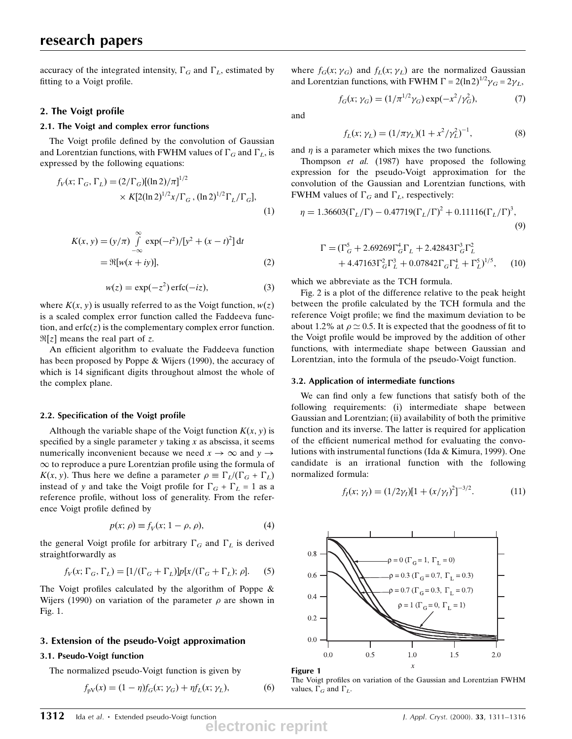accuracy of the integrated intensity,  $\Gamma_G$  and  $\Gamma_L$ , estimated by fitting to a Voigt profile.

# 2. The Voigt profile

# 2.1. The Voigt and complex error functions

The Voigt profile defined by the convolution of Gaussian and Lorentzian functions, with FWHM values of  $\Gamma_G$  and  $\Gamma_L$ , is expressed by the following equations:

$$
f_V(x; \Gamma_G, \Gamma_L) = (2/\Gamma_G)[(\ln 2)/\pi]^{1/2}
$$
  
× K[2(\ln 2)<sup>1/2</sup>x/\Gamma\_G, (\ln 2)<sup>1/2</sup>\Gamma\_L/\Gamma\_G], (1)

$$
K(x, y) = (y/\pi) \int_{-\infty}^{\infty} \exp(-t^2) / [y^2 + (x - t)^2] dt
$$
  
=  $\Re[w(x + iy)],$  (2)

$$
w(z) = \exp(-z^2)\operatorname{erfc}(-iz),\tag{3}
$$

where  $K(x, y)$  is usually referred to as the Voigt function,  $w(z)$ is a scaled complex error function called the Faddeeva function, and  $erfc(z)$  is the complementary complex error function.  $\Re[z]$  means the real part of z.

An efficient algorithm to evaluate the Faddeeva function has been proposed by Poppe & Wijers (1990), the accuracy of which is 14 significant digits throughout almost the whole of the complex plane.

# 2.2. Specification of the Voigt profile

Although the variable shape of the Voigt function  $K(x, y)$  is specified by a single parameter  $y$  taking  $x$  as abscissa, it seems numerically inconvenient because we need  $x \to \infty$  and  $y \to$  $\infty$  to reproduce a pure Lorentzian profile using the formula of  $K(x, y)$ . Thus here we define a parameter  $\rho \equiv \Gamma_L/(\Gamma_G + \Gamma_L)$ instead of y and take the Voigt profile for  $\Gamma_G + \Gamma_L = 1$  as a reference profile, without loss of generality. From the reference Voigt profile defined by

$$
p(x; \rho) \equiv f_V(x; 1 - \rho, \rho), \tag{4}
$$

the general Voigt profile for arbitrary  $\Gamma_G$  and  $\Gamma_L$  is derived straightforwardly as

$$
f_V(x; \Gamma_G, \Gamma_L) = [1/(\Gamma_G + \Gamma_L)] p[x/(\Gamma_G + \Gamma_L); \rho].
$$
 (5)

The Voigt profiles calculated by the algorithm of Poppe  $\&$ Wijers (1990) on variation of the parameter  $\rho$  are shown in Fig. 1.

# 3. Extension of the pseudo-Voigt approximation

# 3.1. Pseudo-Voigt function

The normalized pseudo-Voigt function is given by

$$
f_{\rm pV}(x) = (1 - \eta) f_G(x; \gamma_G) + \eta f_L(x; \gamma_L),\tag{6}
$$

where  $f_G(x; \gamma_G)$  and  $f_L(x; \gamma_L)$  are the normalized Gaussian and Lorentzian functions, with FWHM  $\Gamma = 2(\ln 2)^{1/2} \gamma_G = 2\gamma_L$ ,

$$
f_G(x; \gamma_G) = (1/\pi^{1/2} \gamma_G) \exp(-x^2/\gamma_G^2), \tag{7}
$$

and

$$
f_L(x; \gamma_L) = (1/\pi \gamma_L)(1 + x^2/\gamma_L^2)^{-1},
$$
\n(8)

and  $\eta$  is a parameter which mixes the two functions.

Thompson et al. (1987) have proposed the following expression for the pseudo-Voigt approximation for the convolution of the Gaussian and Lorentzian functions, with FWHM values of  $\Gamma_G$  and  $\Gamma_L$ , respectively:

$$
\eta = 1.36603(\Gamma_L/\Gamma) - 0.47719(\Gamma_L/\Gamma)^2 + 0.11116(\Gamma_L/\Gamma)^3,
$$
\n(9)

$$
\Gamma = (\Gamma_G^5 + 2.69269 \Gamma_G^4 \Gamma_L + 2.42843 \Gamma_G^3 \Gamma_L^2 + 4.47163 \Gamma_G^2 \Gamma_L^3 + 0.07842 \Gamma_G \Gamma_L^4 + \Gamma_L^5)^{1/5}, \quad (10)
$$

which we abbreviate as the TCH formula.

Fig. 2 is a plot of the difference relative to the peak height between the profile calculated by the TCH formula and the reference Voigt profile; we find the maximum deviation to be about 1.2% at  $\rho \simeq 0.5$ . It is expected that the goodness of fit to the Voigt profile would be improved by the addition of other functions, with intermediate shape between Gaussian and Lorentzian, into the formula of the pseudo-Voigt function.

### 3.2. Application of intermediate functions

We can find only a few functions that satisfy both of the following requirements: (i) intermediate shape between Gaussian and Lorentzian; (ii) availability of both the primitive function and its inverse. The latter is required for application of the efficient numerical method for evaluating the convolutions with instrumental functions (Ida & Kimura, 1999). One candidate is an irrational function with the following normalized formula:

$$
f_I(x; \gamma_I) = (1/2\gamma_I)[1 + (x/\gamma_I)^2]^{-3/2}.
$$
 (11)



Figure 1

The Voigt profiles on variation of the Gaussian and Lorentzian FWHM values,  $\Gamma_G$  and  $\Gamma_L$ .

**electronic reprint**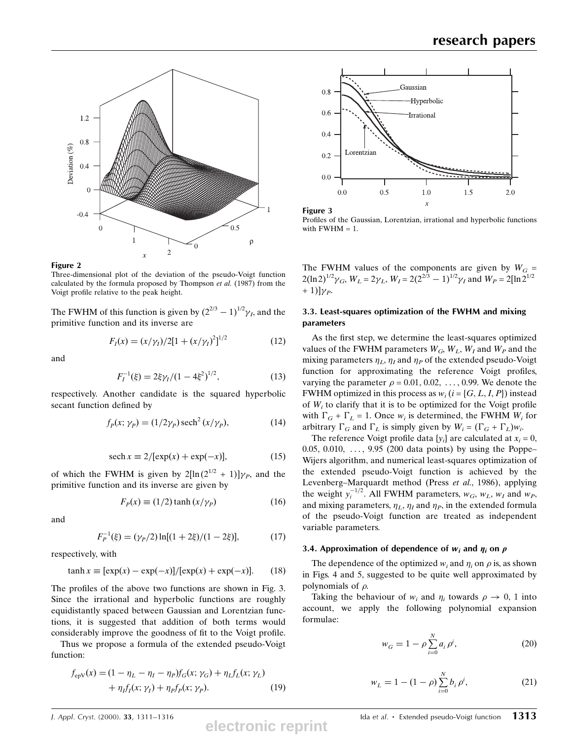



Three-dimensional plot of the deviation of the pseudo-Voigt function calculated by the formula proposed by Thompson et al.  $(1987)$  from the Voigt profile relative to the peak height.

The FWHM of this function is given by  $(2^{2/3} - 1)^{1/2} \gamma_l$ , and the primitive function and its inverse are

$$
F_I(x) = (x/\gamma_I)/2[1 + (x/\gamma_I)^2]^{1/2}
$$
 (12)

and

$$
F_I^{-1}(\xi) = 2\xi \gamma_I / (1 - 4\xi^2)^{1/2},\tag{13}
$$

respectively. Another candidate is the squared hyperbolic secant function defined by

$$
f_P(x; \gamma_P) = (1/2\gamma_P) \operatorname{sech}^2(x/\gamma_P), \tag{14}
$$

$$
\operatorname{sech} x \equiv 2/[\exp(x) + \exp(-x)],\tag{15}
$$

of which the FWHM is given by  $2[\ln(2^{1/2} + 1)]\gamma_P$ , and the primitive function and its inverse are given by

$$
F_p(x) \equiv (1/2)\tanh(x/\gamma_p) \tag{16}
$$

and

$$
F_P^{-1}(\xi) = (\gamma_P/2) \ln[(1+2\xi)/(1-2\xi)],\tag{17}
$$

respectively, with

 $\mathcal{I}$ 

$$
\tanh x \equiv [\exp(x) - \exp(-x)]/[\exp(x) + \exp(-x)]. \qquad (18)
$$

The profiles of the above two functions are shown in Fig. 3. Since the irrational and hyperbolic functions are roughly equidistantly spaced between Gaussian and Lorentzian functions, it is suggested that addition of both terms would considerably improve the goodness of fit to the Voigt profile.

Thus we propose a formula of the extended pseudo-Voigt function:

$$
f_{\rm epV}(x) = (1 - \eta_L - \eta_I - \eta_P) f_G(x; \gamma_G) + \eta_L f_L(x; \gamma_L) + \eta_I f_I(x; \gamma_I) + \eta_P f_P(x; \gamma_P).
$$
 (19)





The FWHM values of the components are given by  $W_G =$  $2(\ln 2)^{1/2} \gamma_G$ ,  $W_L = 2\gamma_L$ ,  $W_I = 2(2^{2/3} - 1)^{1/2} \gamma_I$  and  $W_P = 2[\ln 2^{1/2}]$  $+ 1$ ] $\gamma_p$ .

# 3.3. Least-squares optimization of the FWHM and mixing parameters

As the first step, we determine the least-squares optimized values of the FWHM parameters  $W_G$ ,  $W_L$ ,  $W_I$  and  $W_P$  and the mixing parameters  $\eta_L$ ,  $\eta_I$  and  $\eta_P$  of the extended pseudo-Voigt function for approximating the reference Voigt profiles, varying the parameter  $\rho = 0.01, 0.02, \ldots, 0.99$ . We denote the FWHM optimized in this process as  $w_i$  ( $i = \{G, L, I, P\}$ ) instead of  $W_i$  to clarify that it is to be optimized for the Voigt profile with  $\Gamma_G + \Gamma_L = 1$ . Once  $w_i$  is determined, the FWHM  $W_i$  for arbitrary  $\Gamma_G$  and  $\Gamma_L$  is simply given by  $W_i = (\Gamma_G + \Gamma_L)w_i$ .

The reference Voigt profile data  $\{v_i\}$  are calculated at  $x_i = 0$ , 0.05, 0.010,  $\dots$ , 9.95 (200 data points) by using the Poppe-Wijers algorithm, and numerical least-squares optimization of the extended pseudo-Voigt function is achieved by the Levenberg-Marquardt method (Press et al., 1986), applying the weight  $y_i^{-1/2}$ . All FWHM parameters,  $w_G$ ,  $w_L$ ,  $w_I$  and  $w_P$ , and mixing parameters,  $\eta_L$ ,  $\eta_l$  and  $\eta_P$ , in the extended formula of the pseudo-Voigt function are treated as independent variable parameters.

### 3.4. Approximation of dependence of  $w_i$  and  $\eta_i$  on  $\rho$

The dependence of the optimized  $w_i$  and  $\eta_i$  on  $\rho$  is, as shown in Figs. 4 and 5, suggested to be quite well approximated by polynomials of  $\rho$ .

Taking the behaviour of  $w_i$  and  $\eta_i$  towards  $\rho \to 0$ , 1 into account, we apply the following polynomial expansion formulae:

$$
w_G = 1 - \rho \sum_{i=0}^{N} a_i \rho^i,
$$
 (20)

$$
w_L = 1 - (1 - \rho) \sum_{i=0}^{N} b_i \rho^i,
$$
 (21)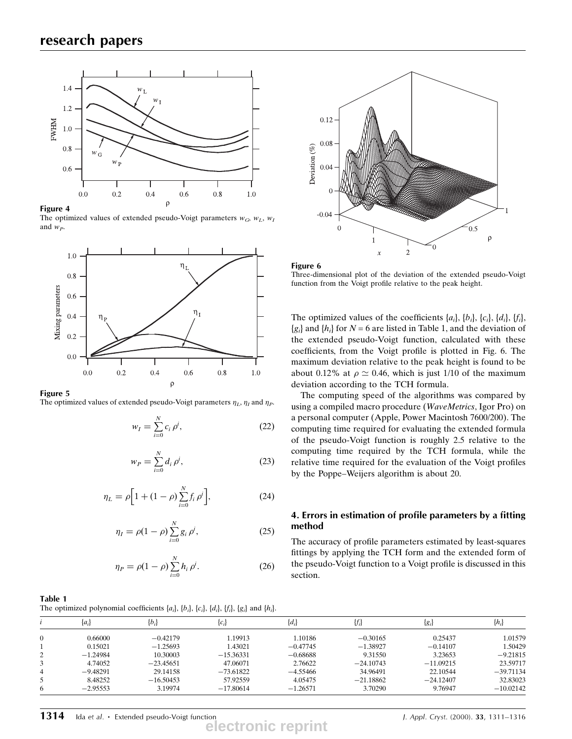

Figure 4

The optimized values of extended pseudo-Voigt parameters  $w_G$ ,  $w_L$ ,  $w_I$ and  $w_P$ .



### Figure 5

The optimized values of extended pseudo-Voigt parameters  $\eta_L$ ,  $\eta_I$  and  $\eta_P$ .

$$
w_I = \sum_{i=0}^{N} c_i \rho^i,
$$
 (22)

$$
w_P = \sum_{i=0}^{N} d_i \rho^i,
$$
 (23)

$$
\eta_L = \rho \Big[ 1 + (1 - \rho) \sum_{i=0}^{N} f_i \, \rho^i \Big],\tag{24}
$$

$$
\eta_I = \rho(1 - \rho) \sum_{i=0}^{N} g_i \rho^i, \tag{25}
$$

$$
\eta_P = \rho (1 - \rho) \sum_{i=0}^{N} h_i \, \rho^i. \tag{26}
$$





Three-dimensional plot of the deviation of the extended pseudo-Voigt function from the Voigt profile relative to the peak height.

The optimized values of the coefficients  $\{a_i\}$ ,  $\{b_i\}$ ,  $\{c_i\}$ ,  $\{d_i\}$ ,  $\{f_i\}$ ,  ${g_i}$  and  ${h_i}$  for  $N = 6$  are listed in Table 1, and the deviation of the extended pseudo-Voigt function, calculated with these coefficients, from the Voigt profile is plotted in Fig. 6. The maximum deviation relative to the peak height is found to be about 0.12% at  $\rho \simeq 0.46$ , which is just 1/10 of the maximum deviation according to the TCH formula.

The computing speed of the algorithms was compared by using a compiled macro procedure (WaveMetrics, Igor Pro) on a personal computer (Apple, Power Macintosh 7600/200). The computing time required for evaluating the extended formula of the pseudo-Voigt function is roughly 2.5 relative to the computing time required by the TCH formula, while the relative time required for the evaluation of the Voigt profiles by the Poppe–Weijers algorithm is about 20.

# 4. Errors in estimation of profile parameters by a fitting method

The accuracy of profile parameters estimated by least-squares fittings by applying the TCH form and the extended form of the pseudo-Voigt function to a Voigt profile is discussed in this section.

#### Table 1

The optimized polynomial coefficients  $\{a_i\}$ ,  $\{b_i\}$ ,  $\{c_i\}$ ,  $\{d_i\}$ ,  $\{f_i\}$ ,  $\{g_i\}$  and  $\{h_i\}$ .

|   | $\{a_i\}$  | $\{b_i\}$   | $\{c_i\}$   | $\{d_i\}$  | $\{f_i\}$   | $\{g_i\}$   | $\{h_{i}\}$ |
|---|------------|-------------|-------------|------------|-------------|-------------|-------------|
| 0 | 0.66000    | $-0.42179$  | 1.19913     | 1.10186    | $-0.30165$  | 0.25437     | 1.01579     |
|   | 0.15021    | $-1.25693$  | 1.43021     | $-0.47745$ | $-1.38927$  | $-0.14107$  | 1.50429     |
| 2 | $-1.24984$ | 10.30003    | $-15.36331$ | $-0.68688$ | 9.31550     | 3.23653     | $-9.21815$  |
|   | 4.74052    | $-23.45651$ | 47.06071    | 2.76622    | $-24.10743$ | $-11.09215$ | 23.59717    |
| 4 | $-9.48291$ | 29.14158    | $-73.61822$ | $-4.55466$ | 34.96491    | 22.10544    | $-39.71134$ |
|   | 8.48252    | $-16.50453$ | 57.92559    | 4.05475    | $-21.18862$ | $-24.12407$ | 32.83023    |
| 6 | $-2.95553$ | 3.19974     | $-17.80614$ | $-1.26571$ | 3.70290     | 9.76947     | $-10.02142$ |

**electronic reprint**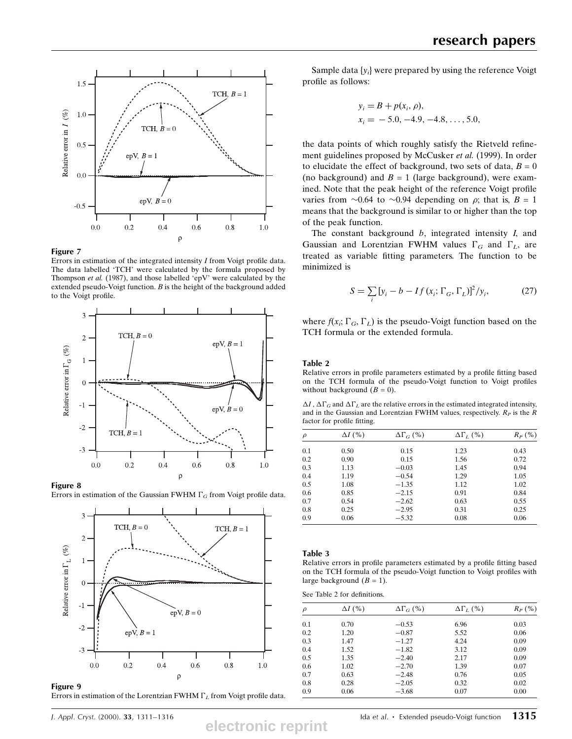

### Figure 7

Errors in estimation of the integrated intensity  $I$  from Voigt profile data. The data labelled `TCH' were calculated by the formula proposed by Thompson et al. (1987), and those labelled 'epV' were calculated by the extended pseudo-Voigt function.  $B$  is the height of the background added to the Voigt profile.



#### Figure 8

Errors in estimation of the Gaussian FWHM  $\Gamma_G$  from Voigt profile data.



Errors in estimation of the Lorentzian FWHM  $\Gamma_L$  from Voigt profile data.

Sample data  $\{y_i\}$  were prepared by using the reference Voigt profile as follows:

$$
y_i = B + p(x_i, \rho),
$$
  
\n
$$
x_i = -5.0, -4.9, -4.8, \dots, 5.0,
$$

the data points of which roughly satisfy the Rietveld refinement guidelines proposed by McCusker et al. (1999). In order to elucidate the effect of background, two sets of data,  $B = 0$ (no background) and  $B = 1$  (large background), were examined. Note that the peak height of the reference Voigt profile varies from  $\sim 0.64$  to  $\sim 0.94$  depending on  $\rho$ ; that is,  $B = 1$ means that the background is similar to or higher than the top of the peak function.

The constant background  $b$ , integrated intensity  $I$ , and Gaussian and Lorentzian FWHM values  $\Gamma_G$  and  $\Gamma_L$ , are treated as variable fitting parameters. The function to be minimized is

$$
S = \sum_{i} \left[ y_i - b - If \left( x_i; \Gamma_G, \Gamma_L \right) \right]^2 / y_i,
$$
 (27)

where  $f(x_i; \Gamma_G, \Gamma_L)$  is the pseudo-Voigt function based on the TCH formula or the extended formula.

### Table 2

Relative errors in profile parameters estimated by a profile fitting based on the TCH formula of the pseudo-Voigt function to Voigt profiles without background  $(B = 0)$ .

 $\Delta I$ ,  $\Delta \Gamma_G$  and  $\Delta \Gamma_L$  are the relative errors in the estimated integrated intensity, and in the Gaussian and Lorentzian FWHM values, respectively.  $R_P$  is the R factor for profile fitting.

| $\rho$ | $\Delta I$ (%) | $\Delta\Gamma_G$ (%) | $\Delta\Gamma_L$ (%) | $R_P$ (%) |
|--------|----------------|----------------------|----------------------|-----------|
| 0.1    | 0.50           | 0.15                 | 1.23                 | 0.43      |
| 0.2    | 0.90           | 0.15                 | 1.56                 | 0.72      |
| 0.3    | 1.13           | $-0.03$              | 1.45                 | 0.94      |
| 0.4    | 1.19           | $-0.54$              | 1.29                 | 1.05      |
| 0.5    | 1.08           | $-1.35$              | 1.12                 | 1.02      |
| 0.6    | 0.85           | $-2.15$              | 0.91                 | 0.84      |
| 0.7    | 0.54           | $-2.62$              | 0.63                 | 0.55      |
| 0.8    | 0.25           | $-2.95$              | 0.31                 | 0.25      |
| 0.9    | 0.06           | $-5.32$              | 0.08                 | 0.06      |

#### Table 3

Relative errors in profile parameters estimated by a profile fitting based on the TCH formula of the pseudo-Voigt function to Voigt profiles with large background  $(B = 1)$ .

See Table 2 for definitions.

| $\rho$ | $\Delta I$ (%) | $\Delta\Gamma_{G}$ (%) | $\Delta\Gamma_L$ (%) | $R_P$ (%) |
|--------|----------------|------------------------|----------------------|-----------|
| 0.1    | 0.70           | $-0.53$                | 6.96                 | 0.03      |
| 0.2    | 1.20           | $-0.87$                | 5.52                 | 0.06      |
| 0.3    | 1.47           | $-1.27$                | 4.24                 | 0.09      |
| 0.4    | 1.52           | $-1.82$                | 3.12                 | 0.09      |
| 0.5    | 1.35           | $-2.40$                | 2.17                 | 0.09      |
| 0.6    | 1.02           | $-2.70$                | 1.39                 | 0.07      |
| 0.7    | 0.63           | $-2.48$                | 0.76                 | 0.05      |
| 0.8    | 0.28           | $-2.05$                | 0.32                 | 0.02      |
| 0.9    | 0.06           | $-3.68$                | 0.07                 | 0.00      |